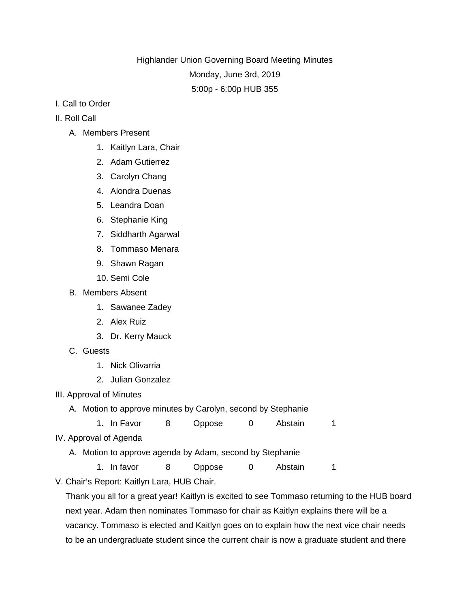Highlander Union Governing Board Meeting Minutes Monday, June 3rd, 2019 5:00p - 6:00p HUB 355

- I. Call to Order
- II. Roll Call
	- A. Members Present
		- 1. Kaitlyn Lara, Chair
		- 2. Adam Gutierrez
		- 3. Carolyn Chang
		- 4. Alondra Duenas
		- 5. Leandra Doan
		- 6. Stephanie King
		- 7. Siddharth Agarwal
		- 8. Tommaso Menara
		- 9. Shawn Ragan
		- 10. Semi Cole
	- B. Members Absent
		- 1. Sawanee Zadey
		- 2. Alex Ruiz
		- 3. Dr. Kerry Mauck
	- C. Guests
		- 1. Nick Olivarria
		- 2. Julian Gonzalez
- III. Approval of Minutes
	- A. Motion to approve minutes by Carolyn, second by Stephanie
	- 1. In Favor 8 Oppose 0 Abstain 1
- IV. Approval of Agenda
	- A. Motion to approve agenda by Adam, second by Stephanie
		- 1. In favor 8 Oppose 0 Abstain 1
- V. Chair's Report: Kaitlyn Lara, HUB Chair.

Thank you all for a great year! Kaitlyn is excited to see Tommaso returning to the HUB board next year. Adam then nominates Tommaso for chair as Kaitlyn explains there will be a vacancy. Tommaso is elected and Kaitlyn goes on to explain how the next vice chair needs to be an undergraduate student since the current chair is now a graduate student and there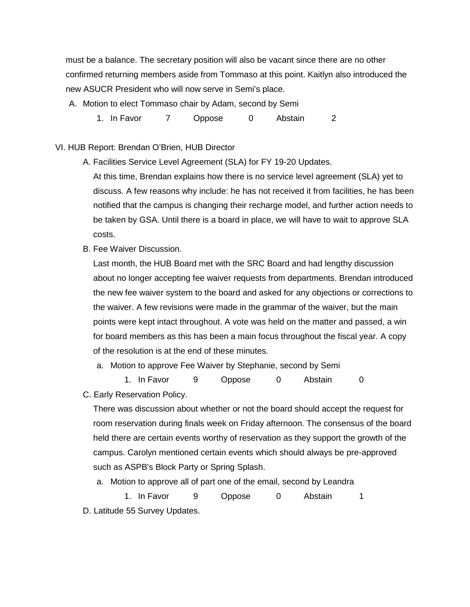must be a balance. The secretary position will also be vacant since there are no other confirmed returning members aside from Tommaso at this point. Kaitlyn also introduced the new ASUCR President who will now serve in Semi's place.

A. Motion to elect Tommaso chair by Adam, second by Semi

1. In Favor 7 Oppose 0 Abstain 2

VI. HUB Report: Brendan O'Brien, HUB Director

A. Facilities Service Level Agreement (SLA) for FY 19-20 Updates.

At this time, Brendan explains how there is no service level agreement (SLA) yet to discuss. A few reasons why include: he has not received it from facilities, he has been notified that the campus is changing their recharge model, and further action needs to be taken by GSA. Until there is a board in place, we will have to wait to approve SLA costs.

B. Fee Waiver Discussion.

Last month, the HUB Board met with the SRC Board and had lengthy discussion about no longer accepting fee waiver requests from departments. Brendan introduced the new fee waiver system to the board and asked for any objections or corrections to the waiver. A few revisions were made in the grammar of the waiver, but the main points were kept intact throughout. A vote was held on the matter and passed, a win for board members as this has been a main focus throughout the fiscal year. A copy of the resolution is at the end of these minutes.

a. Motion to approve Fee Waiver by Stephanie, second by Semi

1. In Favor 9 Oppose 0 Abstain 0

C. Early Reservation Policy.

There was discussion about whether or not the board should accept the request for room reservation during finals week on Friday afternoon. The consensus of the board held there are certain events worthy of reservation as they support the growth of the campus. Carolyn mentioned certain events which should always be pre-approved such as ASPB's Block Party or Spring Splash.

a. Motion to approve all of part one of the email, second by Leandra

1. In Favor 9 Oppose 0 Abstain 1 D. Latitude 55 Survey Updates.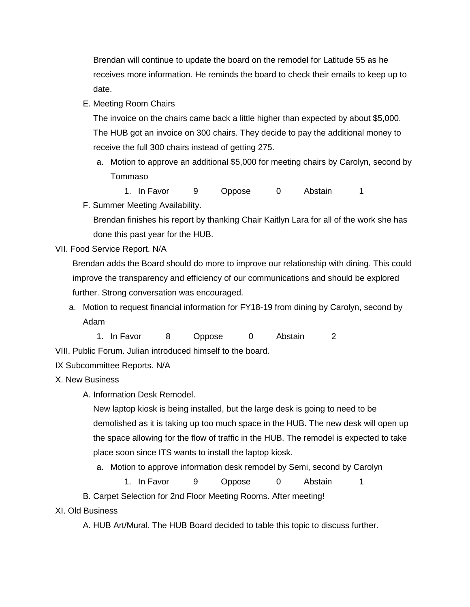Brendan will continue to update the board on the remodel for Latitude 55 as he receives more information. He reminds the board to check their emails to keep up to date.

E. Meeting Room Chairs

The invoice on the chairs came back a little higher than expected by about \$5,000. The HUB got an invoice on 300 chairs. They decide to pay the additional money to receive the full 300 chairs instead of getting 275.

a. Motion to approve an additional \$5,000 for meeting chairs by Carolyn, second by Tommaso

1. In Favor 9 Oppose 0 Abstain 1

F. Summer Meeting Availability.

Brendan finishes his report by thanking Chair Kaitlyn Lara for all of the work she has done this past year for the HUB.

VII. Food Service Report. N/A

Brendan adds the Board should do more to improve our relationship with dining. This could improve the transparency and efficiency of our communications and should be explored further. Strong conversation was encouraged.

a. Motion to request financial information for FY18-19 from dining by Carolyn, second by Adam

1. In Favor 8 Oppose 0 Abstain 2 VIII. Public Forum. Julian introduced himself to the board.

## IX Subcommittee Reports. N/A

- X. New Business
	- A. Information Desk Remodel.

New laptop kiosk is being installed, but the large desk is going to need to be demolished as it is taking up too much space in the HUB. The new desk will open up the space allowing for the flow of traffic in the HUB. The remodel is expected to take place soon since ITS wants to install the laptop kiosk.

a. Motion to approve information desk remodel by Semi, second by Carolyn

1. In Favor 9 Oppose 0 Abstain 1

B. Carpet Selection for 2nd Floor Meeting Rooms. After meeting!

## XI. Old Business

A. HUB Art/Mural. The HUB Board decided to table this topic to discuss further.